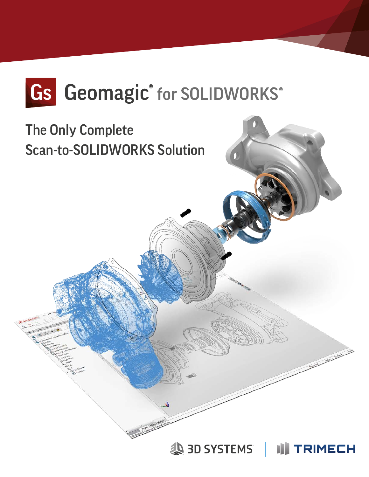

### The Only Complete Scan-to-SOLIDWORKS Solution

3D SYSTEMS |

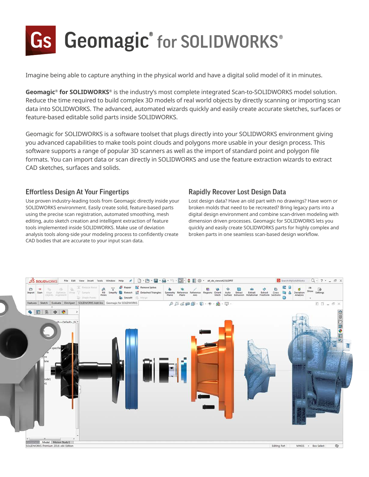# Gs Geomagic® for SOLIDWORKS®

Imagine being able to capture anything in the physical world and have a digital solid model of it in minutes.

**Geomagic® for SOLIDWORKS®** is the industry's most complete integrated Scan-to-SOLIDWORKS model solution. Reduce the time required to build complex 3D models of real world objects by directly scanning or importing scan data into SOLIDWORKS. The advanced, automated wizards quickly and easily create accurate sketches, surfaces or feature-based editable solid parts inside SOLIDWORKS.

Geomagic for SOLIDWORKS is a software toolset that plugs directly into your SOLIDWORKS environment giving you advanced capabilities to make tools point clouds and polygons more usable in your design process. This software supports a range of popular 3D scanners as well as the import of standard point and polygon file formats. You can import data or scan directly in SOLIDWORKS and use the feature extraction wizards to extract CAD sketches, surfaces and solids.

#### Effortless Design At Your Fingertips

Use proven industry-leading tools from Geomagic directly inside your SOLIDWORKS environment. Easily create solid, feature-based parts using the precise scan registration, automated smoothing, mesh editing, auto sketch creation and intelligent extraction of feature tools implemented inside SOLIDWORKS. Make use of deviation analysis tools along-side your modeling process to confidently create CAD bodies that are accurate to your input scan data.

#### Rapidly Recover Lost Design Data

Lost design data? Have an old part with no drawings? Have worn or broken molds that need to be recreated? Bring legacy parts into a digital design environment and combine scan-driven modeling with dimension driven processes. Geomagic for SOLIDWORKS lets you quickly and easily create SOLIDWORKS parts for highly complex and broken parts in one seamless scan-based design workflow.

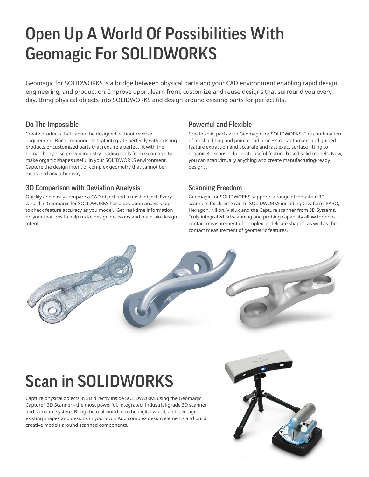## Open Up A World Of Possibilities With Geomagic For SOLIDWORKS

Geomagic for SOLIDWORKS is a bridge between physical parts and your CAD environment enabling rapid design, engineering, and production. Improve upon, learn from, customize and reuse designs that surround you every day. Bring physical objects into SOLIDWORKS and design around existing parts for perfect fits.

### Do The Impossible

Create products that cannot be designed without reverse engineering. Build components that integrate perfectly with existing products or customized parts that require a perfect fit with the human body. Use proven industry-leading tools from Geomagic to make organic shapes useful in your SOLIDWORKS environment. Capture the design intent of complex geometry that cannot be measured any other way.

#### 3D Comparison with Deviation Analysis

Quickly and easily compare a CAD object and a mesh object. Every wizard in Geomagic for SOLIDWORKS has a deviation analysis tool to check feature accuracy as you model. Get real-time information on your features to help make design decisions and maintain design intent.

#### Powerful and Flexible

Create solid parts with Geomagic for SOLIDWORKS. The combination of mesh editing and point cloud processing, automatic and guided feature extraction and accurate and fast exact surface fitting to organic 3D scans help create useful feature-based solid models. Now, you can scan virtually anything and create manufacturing-ready designs.

#### Scanning Freedom

Geomagic for SOLIDWORKS supports a range of industrial 3D scanners for direct Scan-to-SOLIDWORKS including Creaform, FARO, Hexagon, Nikon, Vialux and the Capture scanner from 3D Systems. Truly integrated 3d scanning and probing capability allow for noncontact measurement of complex or delicate shapes, as well as the contact measurement of geometric features.



# Scan in SOLIDWORKS

Capture physical objects in 3D directly inside SOLIDWORKS using the Geomagic Capture® 3D Scanner - the most powerful, integrated, industrial-grade 3D scanner and software system. Bring the real world into the digital world, and leverage existing shapes and designs in your own. Add complex design elements and build creative models around scanned components.